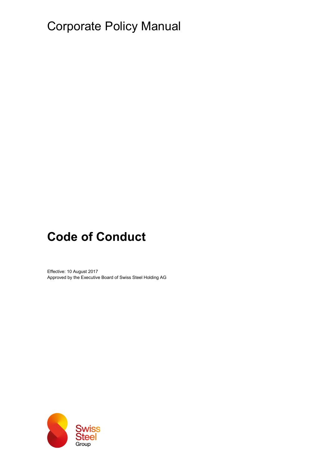# Corporate Policy Manual

# Code of Conduct

Effective: 10 August 2017 Approved by the Executive Board of Swiss Steel Holding AG

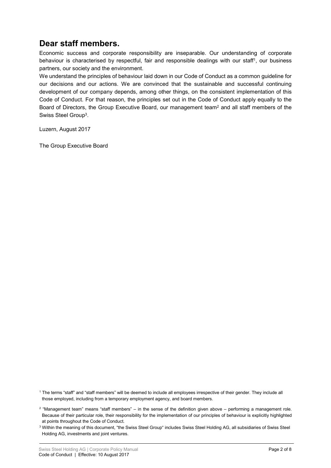# Dear staff members.

Economic success and corporate responsibility are inseparable. Our understanding of corporate behaviour is characterised by respectful, fair and responsible dealings with our staff<sup>1</sup>, our business partners, our society and the environment.

We understand the principles of behaviour laid down in our Code of Conduct as a common guideline for our decisions and our actions. We are convinced that the sustainable and successful continuing development of our company depends, among other things, on the consistent implementation of this Code of Conduct. For that reason, the principles set out in the Code of Conduct apply equally to the Board of Directors, the Group Executive Board, our management team<sup>2</sup> and all staff members of the Swiss Steel Group<sup>3</sup>.

Luzern, August 2017

The Group Executive Board

1 The terms "staff" and "staff members" will be deemed to include all employees irrespective of their gender. They include all those employed, including from a temporary employment agency, and board members.

<sup>2</sup> "Management team" means "staff members" – in the sense of the definition given above – performing a management role. Because of their particular role, their responsibility for the implementation of our principles of behaviour is explicitly highlighted at points throughout the Code of Conduct.

 $^3$  Within the meaning of this document, "the Swiss Steel Group" includes Swiss Steel Holding AG, all subsidiaries of Swiss Steel Holding AG, investments and joint ventures.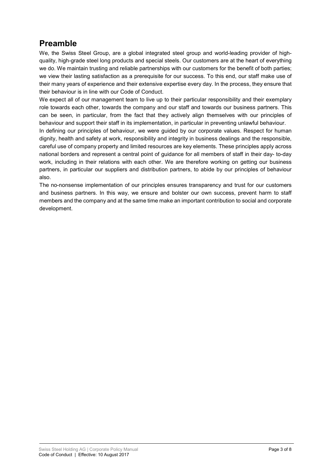# Preamble

We, the Swiss Steel Group, are a global integrated steel group and world-leading provider of highquality, high-grade steel long products and special steels. Our customers are at the heart of everything we do. We maintain trusting and reliable partnerships with our customers for the benefit of both parties; we view their lasting satisfaction as a prerequisite for our success. To this end, our staff make use of their many years of experience and their extensive expertise every day. In the process, they ensure that their behaviour is in line with our Code of Conduct.

We expect all of our management team to live up to their particular responsibility and their exemplary role towards each other, towards the company and our staff and towards our business partners. This can be seen, in particular, from the fact that they actively align themselves with our principles of behaviour and support their staff in its implementation, in particular in preventing unlawful behaviour.

In defining our principles of behaviour, we were guided by our corporate values. Respect for human dignity, health and safety at work, responsibility and integrity in business dealings and the responsible, careful use of company property and limited resources are key elements. These principles apply across national borders and represent a central point of guidance for all members of staff in their day- to-day work, including in their relations with each other. We are therefore working on getting our business partners, in particular our suppliers and distribution partners, to abide by our principles of behaviour also.

The no-nonsense implementation of our principles ensures transparency and trust for our customers and business partners. In this way, we ensure and bolster our own success, prevent harm to staff members and the company and at the same time make an important contribution to social and corporate development.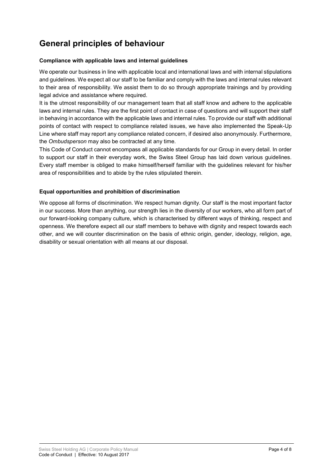# General principles of behaviour

## Compliance with applicable laws and internal guidelines

We operate our business in line with applicable local and international laws and with internal stipulations and guidelines. We expect all our staff to be familiar and comply with the laws and internal rules relevant to their area of responsibility. We assist them to do so through appropriate trainings and by providing legal advice and assistance where required.

It is the utmost responsibility of our management team that all staff know and adhere to the applicable laws and internal rules. They are the first point of contact in case of questions and will support their staff in behaving in accordance with the applicable laws and internal rules. To provide our staff with additional points of contact with respect to compliance related issues, we have also implemented the Speak-Up Line where staff may report any compliance related concern, if desired also anonymously. Furthermore, the Ombudsperson may also be contracted at any time.

This Code of Conduct cannot encompass all applicable standards for our Group in every detail. In order to support our staff in their everyday work, the Swiss Steel Group has laid down various guidelines. Every staff member is obliged to make himself/herself familiar with the guidelines relevant for his/her area of responsibilities and to abide by the rules stipulated therein.

# Equal opportunities and prohibition of discrimination

We oppose all forms of discrimination. We respect human dignity. Our staff is the most important factor in our success. More than anything, our strength lies in the diversity of our workers, who all form part of our forward-looking company culture, which is characterised by different ways of thinking, respect and openness. We therefore expect all our staff members to behave with dignity and respect towards each other, and we will counter discrimination on the basis of ethnic origin, gender, ideology, religion, age, disability or sexual orientation with all means at our disposal.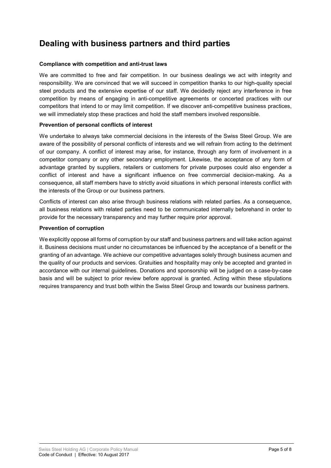# Dealing with business partners and third parties

#### Compliance with competition and anti-trust laws

We are committed to free and fair competition. In our business dealings we act with integrity and responsibility. We are convinced that we will succeed in competition thanks to our high-quality special steel products and the extensive expertise of our staff. We decidedly reject any interference in free competition by means of engaging in anti-competitive agreements or concerted practices with our competitors that intend to or may limit competition. If we discover anti-competitive business practices, we will immediately stop these practices and hold the staff members involved responsible.

# Prevention of personal conflicts of interest

We undertake to always take commercial decisions in the interests of the Swiss Steel Group. We are aware of the possibility of personal conflicts of interests and we will refrain from acting to the detriment of our company. A conflict of interest may arise, for instance, through any form of involvement in a competitor company or any other secondary employment. Likewise, the acceptance of any form of advantage granted by suppliers, retailers or customers for private purposes could also engender a conflict of interest and have a significant influence on free commercial decision-making. As a consequence, all staff members have to strictly avoid situations in which personal interests conflict with the interests of the Group or our business partners.

Conflicts of interest can also arise through business relations with related parties. As a consequence, all business relations with related parties need to be communicated internally beforehand in order to provide for the necessary transparency and may further require prior approval.

### Prevention of corruption

We explicitly oppose all forms of corruption by our staff and business partners and will take action against it. Business decisions must under no circumstances be influenced by the acceptance of a benefit or the granting of an advantage. We achieve our competitive advantages solely through business acumen and the quality of our products and services. Gratuities and hospitality may only be accepted and granted in accordance with our internal guidelines. Donations and sponsorship will be judged on a case-by-case basis and will be subject to prior review before approval is granted. Acting within these stipulations requires transparency and trust both within the Swiss Steel Group and towards our business partners.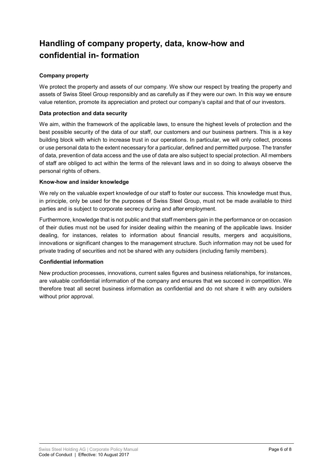# Handling of company property, data, know-how and confidential in- formation

# Company property

We protect the property and assets of our company. We show our respect by treating the property and assets of Swiss Steel Group responsibly and as carefully as if they were our own. In this way we ensure value retention, promote its appreciation and protect our company's capital and that of our investors.

## Data protection and data security

We aim, within the framework of the applicable laws, to ensure the highest levels of protection and the best possible security of the data of our staff, our customers and our business partners. This is a key building block with which to increase trust in our operations. In particular, we will only collect, process or use personal data to the extent necessary for a particular, defined and permitted purpose. The transfer of data, prevention of data access and the use of data are also subject to special protection. All members of staff are obliged to act within the terms of the relevant laws and in so doing to always observe the personal rights of others.

### Know-how and insider knowledge

We rely on the valuable expert knowledge of our staff to foster our success. This knowledge must thus, in principle, only be used for the purposes of Swiss Steel Group, must not be made available to third parties and is subject to corporate secrecy during and after employment.

Furthermore, knowledge that is not public and that staff members gain in the performance or on occasion of their duties must not be used for insider dealing within the meaning of the applicable laws. Insider dealing, for instances, relates to information about financial results, mergers and acquisitions, innovations or significant changes to the management structure. Such information may not be used for private trading of securities and not be shared with any outsiders (including family members).

## Confidential information

New production processes, innovations, current sales figures and business relationships, for instances, are valuable confidential information of the company and ensures that we succeed in competition. We therefore treat all secret business information as confidential and do not share it with any outsiders without prior approval.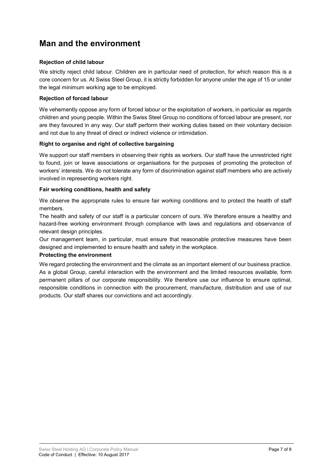# Man and the environment

# Rejection of child labour

We strictly reject child labour. Children are in particular need of protection, for which reason this is a core concern for us. At Swiss Steel Group, it is strictly forbidden for anyone under the age of 15 or under the legal minimum working age to be employed.

## Rejection of forced labour

We vehemently oppose any form of forced labour or the exploitation of workers, in particular as regards children and young people. Within the Swiss Steel Group no conditions of forced labour are present, nor are they favoured in any way. Our staff perform their working duties based on their voluntary decision and not due to any threat of direct or indirect violence or intimidation.

## Right to organise and right of collective bargaining

We support our staff members in observing their rights as workers. Our staff have the unrestricted right to found, join or leave associations or organisations for the purposes of promoting the protection of workers' interests. We do not tolerate any form of discrimination against staff members who are actively involved in representing workers right.

### Fair working conditions, health and safety

We observe the appropriate rules to ensure fair working conditions and to protect the health of staff members.

The health and safety of our staff is a particular concern of ours. We therefore ensure a healthy and hazard-free working environment through compliance with laws and regulations and observance of relevant design principles.

Our management team, in particular, must ensure that reasonable protective measures have been designed and implemented to ensure health and safety in the workplace.

#### Protecting the environment

We regard protecting the environment and the climate as an important element of our business practice. As a global Group, careful interaction with the environment and the limited resources available, form permanent pillars of our corporate responsibility. We therefore use our influence to ensure optimal, responsible conditions in connection with the procurement, manufacture, distribution and use of our products. Our staff shares our convictions and act accordingly.